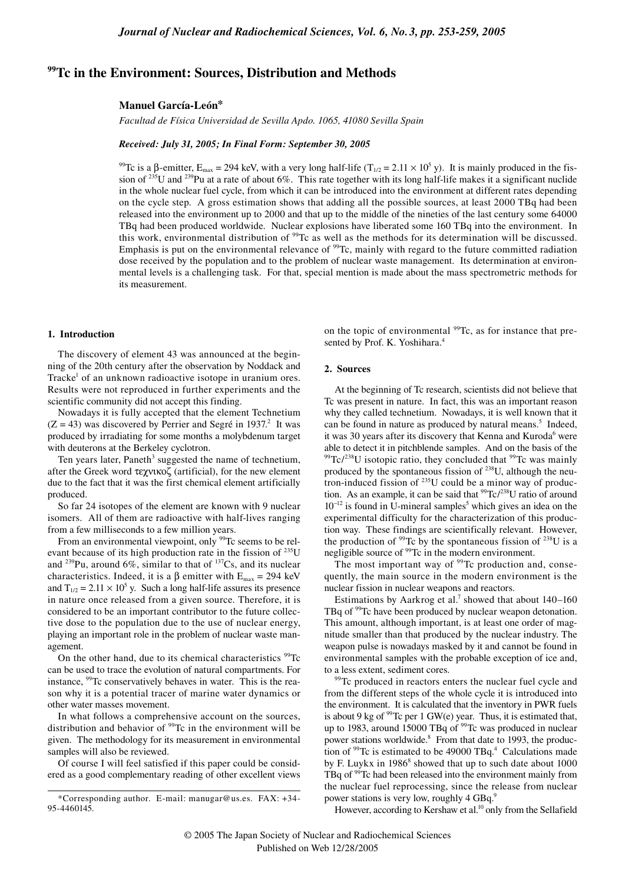# **99Tc in the Environment: Sources, Distribution and Methods**

## **Manuel García-León\***

*Facultad de Física Universidad de Sevilla Apdo. 1065, 41080 Sevilla Spain*

# *Received: July 31, 2005; In Final Form: September 30, 2005*

<sup>99</sup>Tc is a β-emitter, E<sub>max</sub> = 294 keV, with a very long half-life (T<sub>1/2</sub> = 2.11 × 10<sup>5</sup> y). It is mainly produced in the fission of  $^{235}$ U and  $^{239}$ Pu at a rate of about 6%. This rate together with its long half-life makes it a significant nuclide in the whole nuclear fuel cycle, from which it can be introduced into the environment at different rates depending on the cycle step. A gross estimation shows that adding all the possible sources, at least 2000 TBq had been released into the environment up to 2000 and that up to the middle of the nineties of the last century some 64000 TBq had been produced worldwide. Nuclear explosions have liberated some 160 TBq into the environment. In this work, environmental distribution of 99Tc as well as the methods for its determination will be discussed. Emphasis is put on the environmental relevance of  $^{99}$ Tc, mainly with regard to the future committed radiation dose received by the population and to the problem of nuclear waste management. Its determination at environmental levels is a challenging task. For that, special mention is made about the mass spectrometric methods for its measurement.

### **1. Introduction**

The discovery of element 43 was announced at the beginning of the 20th century after the observation by Noddack and Tracke<sup>1</sup> of an unknown radioactive isotope in uranium ores. Results were not reproduced in further experiments and the scientific community did not accept this finding.

Nowadays it is fully accepted that the element Technetium  $(Z = 43)$  was discovered by Perrier and Segré in 1937.<sup>2</sup> It was produced by irradiating for some months a molybdenum target with deuterons at the Berkeley cyclotron.

Ten years later, Paneth<sup>3</sup> suggested the name of technetium, after the Greek word τεχνικοζ (artificial), for the new element due to the fact that it was the first chemical element artificially produced.

So far 24 isotopes of the element are known with 9 nuclear isomers. All of them are radioactive with half-lives ranging from a few milliseconds to a few million years.

From an environmental viewpoint, only <sup>99</sup>Tc seems to be relevant because of its high production rate in the fission of  $^{235}$ U and <sup>239</sup>Pu, around 6%, similar to that of <sup>137</sup>Cs, and its nuclear characteristics. Indeed, it is a  $\beta$  emitter with E<sub>max</sub> = 294 keV and  $T_{1/2} = 2.11 \times 10^5$  y. Such a long half-life assures its presence in nature once released from a given source. Therefore, it is considered to be an important contributor to the future collective dose to the population due to the use of nuclear energy, playing an important role in the problem of nuclear waste management.

On the other hand, due to its chemical characteristics <sup>99</sup>Tc can be used to trace the evolution of natural compartments. For instance, <sup>99</sup>Tc conservatively behaves in water. This is the reason why it is a potential tracer of marine water dynamics or other water masses movement.

In what follows a comprehensive account on the sources, distribution and behavior of  $99$ Tc in the environment will be given. The methodology for its measurement in environmental samples will also be reviewed.

Of course I will feel satisfied if this paper could be considered as a good complementary reading of other excellent views on the topic of environmental  $99Tc$ , as for instance that presented by Prof. K. Yoshihara.<sup>4</sup>

#### **2. Sources**

At the beginning of Tc research, scientists did not believe that Tc was present in nature. In fact, this was an important reason why they called technetium. Nowadays, it is well known that it can be found in nature as produced by natural means.<sup>5</sup> Indeed, it was 30 years after its discovery that Kenna and Kuroda<sup>6</sup> were able to detect it in pitchblende samples. And on the basis of the  $99$ Tc/<sup>238</sup>U isotopic ratio, they concluded that  $99$ Tc was mainly produced by the spontaneous fission of  $^{238}$ U, although the neutron-induced fission of  $^{235}U$  could be a minor way of production. As an example, it can be said that  $^{99}$ Tc/<sup>238</sup>U ratio of around  $10^{-12}$  is found in U-mineral samples<sup>5</sup> which gives an idea on the experimental difficulty for the characterization of this production way. These findings are scientifically relevant. However, the production of  $99$ Tc by the spontaneous fission of  $238$ U is a negligible source of <sup>99</sup>Tc in the modern environment.

The most important way of <sup>99</sup>Tc production and, consequently, the main source in the modern environment is the nuclear fission in nuclear weapons and reactors.

Estimations by Aarkrog et al.<sup>7</sup> showed that about  $140-160$ TBq of <sup>99</sup>Tc have been produced by nuclear weapon detonation. This amount, although important, is at least one order of magnitude smaller than that produced by the nuclear industry. The weapon pulse is nowadays masked by it and cannot be found in environmental samples with the probable exception of ice and, to a less extent, sediment cores.

<sup>99</sup>Tc produced in reactors enters the nuclear fuel cycle and from the different steps of the whole cycle it is introduced into the environment. It is calculated that the inventory in PWR fuels is about 9 kg of  $9^9$ Tc per 1 GW(e) year. Thus, it is estimated that, up to 1983, around 15000 TBq of <sup>99</sup>Tc was produced in nuclear power stations worldwide.<sup>8</sup> From that date to 1993, the production of  $99$ Tc is estimated to be 49000 TBq.<sup>4</sup> Calculations made by F. Luykx in  $1986^8$  showed that up to such date about  $1000$ TBq of <sup>99</sup>Tc had been released into the environment mainly from the nuclear fuel reprocessing, since the release from nuclear power stations is very low, roughly 4 GBq.9

However, according to Kershaw et al.<sup>10</sup> only from the Sellafield

<sup>\*</sup>Corresponding author. E-mail: manugar@us.es. FAX: +34- 95-4460145.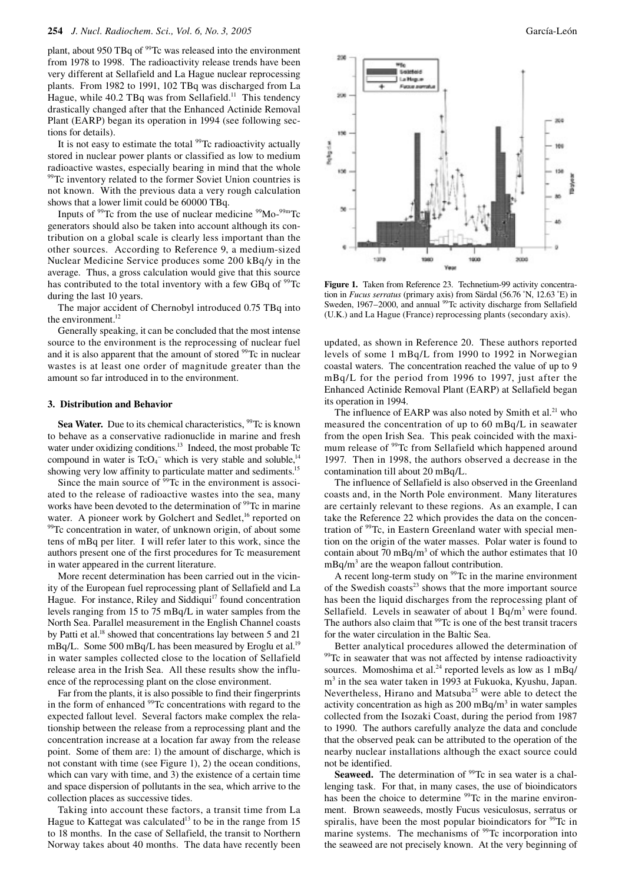plant, about 950 TBq of <sup>99</sup>Tc was released into the environment from 1978 to 1998. The radioactivity release trends have been very different at Sellafield and La Hague nuclear reprocessing plants. From 1982 to 1991, 102 TBq was discharged from La Hague, while 40.2 TBq was from Sellafield.<sup>11</sup> This tendency drastically changed after that the Enhanced Actinide Removal Plant (EARP) began its operation in 1994 (see following sections for details).

It is not easy to estimate the total  $99Tc$  radioactivity actually stored in nuclear power plants or classified as low to medium radioactive wastes, especially bearing in mind that the whole <sup>99</sup>Tc inventory related to the former Soviet Union countries is not known. With the previous data a very rough calculation shows that a lower limit could be 60000 TBq.

Inputs of  $99$ Tc from the use of nuclear medicine  $99$ Mo- $99$ <sup>m</sup>Tc generators should also be taken into account although its contribution on a global scale is clearly less important than the other sources. According to Reference 9, a medium-sized Nuclear Medicine Service produces some 200 kBq/y in the average. Thus, a gross calculation would give that this source has contributed to the total inventory with a few GBq of  $\rm{^{99}Tc}$ during the last 10 years.

The major accident of Chernobyl introduced 0.75 TBq into the environment.<sup>12</sup>

Generally speaking, it can be concluded that the most intense source to the environment is the reprocessing of nuclear fuel and it is also apparent that the amount of stored <sup>99</sup>Tc in nuclear wastes is at least one order of magnitude greater than the amount so far introduced in to the environment.

# **3. Distribution and Behavior**

**Sea Water.** Due to its chemical characteristics, <sup>99</sup>Tc is known to behave as a conservative radionuclide in marine and fresh water under oxidizing conditions.<sup>13</sup> Indeed, the most probable Tc compound in water is  $TcO<sub>4</sub><sup>-</sup>$  which is very stable and soluble,<sup>14</sup> showing very low affinity to particulate matter and sediments.<sup>15</sup>

Since the main source of <sup>99</sup>Tc in the environment is associated to the release of radioactive wastes into the sea, many works have been devoted to the determination of <sup>99</sup>Tc in marine water. A pioneer work by Golchert and Sedlet,<sup>16</sup> reported on 99Tc concentration in water, of unknown origin, of about some tens of mBq per liter. I will refer later to this work, since the authors present one of the first procedures for Tc measurement in water appeared in the current literature.

More recent determination has been carried out in the vicinity of the European fuel reprocessing plant of Sellafield and La Hague. For instance, Riley and Siddiqui<sup>17</sup> found concentration levels ranging from 15 to 75 mBq/L in water samples from the North Sea. Parallel measurement in the English Channel coasts by Patti et al.<sup>18</sup> showed that concentrations lay between 5 and 21 mBq/L. Some 500 mBq/L has been measured by Eroglu et al.<sup>19</sup> in water samples collected close to the location of Sellafield release area in the Irish Sea. All these results show the influence of the reprocessing plant on the close environment.

Far from the plants, it is also possible to find their fingerprints in the form of enhanced <sup>99</sup>Tc concentrations with regard to the expected fallout level. Several factors make complex the relationship between the release from a reprocessing plant and the concentration increase at a location far away from the release point. Some of them are: 1) the amount of discharge, which is not constant with time (see Figure 1), 2) the ocean conditions, which can vary with time, and 3) the existence of a certain time and space dispersion of pollutants in the sea, which arrive to the collection places as successive tides.

Taking into account these factors, a transit time from La Hague to Kattegat was calculated<sup>13</sup> to be in the range from 15 to 18 months. In the case of Sellafield, the transit to Northern Norway takes about 40 months. The data have recently been



**Figure 1.** Taken from Reference 23. Technetium-99 activity concentration in *Fucus serratus* (primary axis) from Särdal (56.76 ˚N, 12.63 ˚E) in Sweden, 1967–2000, and annual <sup>99</sup>Tc activity discharge from Sellafield (U.K.) and La Hague (France) reprocessing plants (secondary axis).

updated, as shown in Reference 20. These authors reported levels of some 1 mBq/L from 1990 to 1992 in Norwegian coastal waters. The concentration reached the value of up to 9 mBq/L for the period from 1996 to 1997, just after the Enhanced Actinide Removal Plant (EARP) at Sellafield began its operation in 1994.

The influence of EARP was also noted by Smith et al.<sup>21</sup> who measured the concentration of up to 60 mBq/L in seawater from the open Irish Sea. This peak coincided with the maximum release of <sup>99</sup>Tc from Sellafield which happened around 1997. Then in 1998, the authors observed a decrease in the contamination till about 20 mBq/L.

The influence of Sellafield is also observed in the Greenland coasts and, in the North Pole environment. Many literatures are certainly relevant to these regions. As an example, I can take the Reference 22 which provides the data on the concentration of <sup>99</sup>Tc, in Eastern Greenland water with special mention on the origin of the water masses. Polar water is found to contain about 70 mBq/m<sup>3</sup> of which the author estimates that 10  $mBq/m<sup>3</sup>$  are the weapon fallout contribution.

A recent long-term study on <sup>99</sup>Tc in the marine environment of the Swedish coasts $^{23}$  shows that the more important source has been the liquid discharges from the reprocessing plant of Sellafield. Levels in seawater of about  $1 \text{ Bq/m}^3$  were found. The authors also claim that <sup>99</sup>Tc is one of the best transit tracers for the water circulation in the Baltic Sea.

Better analytical procedures allowed the determination of <sup>99</sup>Tc in seawater that was not affected by intense radioactivity sources. Momoshima et al.<sup>24</sup> reported levels as low as 1 mBq/ m<sup>3</sup> in the sea water taken in 1993 at Fukuoka, Kyushu, Japan. Nevertheless, Hirano and Matsuba<sup>25</sup> were able to detect the activity concentration as high as  $200 \text{ mBq/m}^3$  in water samples collected from the Isozaki Coast, during the period from 1987 to 1990. The authors carefully analyze the data and conclude that the observed peak can be attributed to the operation of the nearby nuclear installations although the exact source could not be identified.

**Seaweed.** The determination of <sup>99</sup>Tc in sea water is a challenging task. For that, in many cases, the use of bioindicators has been the choice to determine <sup>99</sup>Tc in the marine environment. Brown seaweeds, mostly Fucus vesiculosus, serratus or spiralis, have been the most popular bioindicators for  $\frac{99}{Tc}$  in marine systems. The mechanisms of  $99$ Tc incorporation into the seaweed are not precisely known. At the very beginning of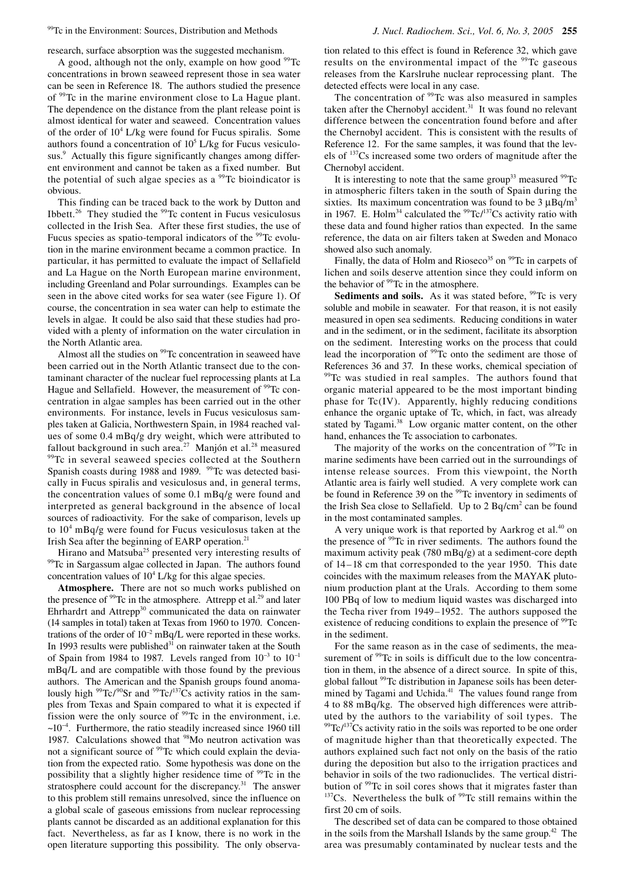99Tc in the Environment: Sources, Distribution and Methods *J. Nucl. Radiochem. Sci., Vol. 6, No. 3, 2005* **255**

research, surface absorption was the suggested mechanism.

A good, although not the only, example on how good <sup>99</sup>Tc concentrations in brown seaweed represent those in sea water can be seen in Reference 18. The authors studied the presence of 99Tc in the marine environment close to La Hague plant. The dependence on the distance from the plant release point is almost identical for water and seaweed. Concentration values of the order of  $10^4$  L/kg were found for Fucus spiralis. Some authors found a concentration of  $10<sup>5</sup> L/kg$  for Fucus vesiculosus.<sup>9</sup> Actually this figure significantly changes among different environment and cannot be taken as a fixed number. But the potential of such algae species as a  $\frac{99}{10}$  bioindicator is obvious.

This finding can be traced back to the work by Dutton and Ibbett.<sup>26</sup> They studied the  $99$ Tc content in Fucus vesiculosus collected in the Irish Sea. After these first studies, the use of Fucus species as spatio-temporal indicators of the <sup>99</sup>Tc evolution in the marine environment became a common practice. In particular, it has permitted to evaluate the impact of Sellafield and La Hague on the North European marine environment, including Greenland and Polar surroundings. Examples can be seen in the above cited works for sea water (see Figure 1). Of course, the concentration in sea water can help to estimate the levels in algae. It could be also said that these studies had provided with a plenty of information on the water circulation in the North Atlantic area.

Almost all the studies on <sup>99</sup>Tc concentration in seaweed have been carried out in the North Atlantic transect due to the contaminant character of the nuclear fuel reprocessing plants at La Hague and Sellafield. However, the measurement of <sup>99</sup>Tc concentration in algae samples has been carried out in the other environments. For instance, levels in Fucus vesiculosus samples taken at Galicia, Northwestern Spain, in 1984 reached values of some 0.4 mBq/g dry weight, which were attributed to fallout background in such area.<sup>27</sup> Manjón et al.<sup>28</sup> measured 99Tc in several seaweed species collected at the Southern Spanish coasts during 1988 and 1989. <sup>99</sup>Tc was detected basically in Fucus spiralis and vesiculosus and, in general terms, the concentration values of some 0.1 mBq/g were found and interpreted as general background in the absence of local sources of radioactivity. For the sake of comparison, levels up to 104 mBq/g were found for Fucus vesiculosus taken at the Irish Sea after the beginning of EARP operation.<sup>21</sup>

Hirano and Matsuba<sup>25</sup> presented very interesting results of <sup>99</sup>Tc in Sargassum algae collected in Japan. The authors found concentration values of  $10<sup>4</sup> L/kg$  for this algae species.

**Atmosphere.** There are not so much works published on the presence of  $99$ Tc in the atmosphere. Attrepp et al.<sup>29</sup> and later Ehrhardrt and Attrepp $30$  communicated the data on rainwater (14 samples in total) taken at Texas from 1960 to 1970. Concentrations of the order of  $10^{-2}$  mBq/L were reported in these works. In 1993 results were published $31$  on rainwater taken at the South of Spain from 1984 to 1987. Levels ranged from  $10^{-3}$  to  $10^{-1}$ mBq/L and are compatible with those found by the previous authors. The American and the Spanish groups found anomalously high  $99$ Tc/ $90$ Sr and  $99$ Tc/ $137Cs$  activity ratios in the samples from Texas and Spain compared to what it is expected if fission were the only source of  $99$ Tc in the environment, i.e. ~10<sup>−</sup><sup>4</sup> . Furthermore, the ratio steadily increased since 1960 till 1987. Calculations showed that <sup>98</sup>Mo neutron activation was not a significant source of <sup>99</sup>Tc which could explain the deviation from the expected ratio. Some hypothesis was done on the possibility that a slightly higher residence time of <sup>99</sup>Tc in the stratosphere could account for the discrepancy. $31$  The answer to this problem still remains unresolved, since the influence on a global scale of gaseous emissions from nuclear reprocessing plants cannot be discarded as an additional explanation for this fact. Nevertheless, as far as I know, there is no work in the open literature supporting this possibility. The only observation related to this effect is found in Reference 32, which gave results on the environmental impact of the <sup>99</sup>Tc gaseous releases from the Karslruhe nuclear reprocessing plant. The detected effects were local in any case.

The concentration of <sup>99</sup>Tc was also measured in samples taken after the Chernobyl accident. $31$  It was found no relevant difference between the concentration found before and after the Chernobyl accident. This is consistent with the results of Reference 12. For the same samples, it was found that the levels of 137Cs increased some two orders of magnitude after the Chernobyl accident.

It is interesting to note that the same group<sup>33</sup> measured  $99Tc$ in atmospheric filters taken in the south of Spain during the sixties. Its maximum concentration was found to be  $3 \mu Bq/m^3$ in 1967. E. Holm<sup>34</sup> calculated the  $99$ Tc/<sup>137</sup>Cs activity ratio with these data and found higher ratios than expected. In the same reference, the data on air filters taken at Sweden and Monaco showed also such anomaly.

Finally, the data of Holm and Rioseco<sup>35</sup> on <sup>99</sup>Tc in carpets of lichen and soils deserve attention since they could inform on the behavior of  $99$ Tc in the atmosphere.

**Sediments and soils.** As it was stated before, <sup>99</sup>Tc is very soluble and mobile in seawater. For that reason, it is not easily measured in open sea sediments. Reducing conditions in water and in the sediment, or in the sediment, facilitate its absorption on the sediment. Interesting works on the process that could lead the incorporation of <sup>99</sup>Tc onto the sediment are those of References 36 and 37. In these works, chemical speciation of <sup>99</sup>Tc was studied in real samples. The authors found that organic material appeared to be the most important binding phase for Tc(IV). Apparently, highly reducing conditions enhance the organic uptake of Tc, which, in fact, was already stated by Tagami.<sup>38</sup> Low organic matter content, on the other hand, enhances the Tc association to carbonates.

The majority of the works on the concentration of  $99$ Tc in marine sediments have been carried out in the surroundings of intense release sources. From this viewpoint, the North Atlantic area is fairly well studied. A very complete work can be found in Reference 39 on the <sup>99</sup>Tc inventory in sediments of the Irish Sea close to Sellafield. Up to  $2$  Bq/cm<sup>2</sup> can be found in the most contaminated samples.

A very unique work is that reported by Aarkrog et al.<sup>40</sup> on the presence of <sup>99</sup>Tc in river sediments. The authors found the maximum activity peak (780 mBq/g) at a sediment-core depth of 14–18 cm that corresponded to the year 1950. This date coincides with the maximum releases from the MAYAK plutonium production plant at the Urals. According to them some 100 PBq of low to medium liquid wastes was discharged into the Techa river from 1949–1952. The authors supposed the existence of reducing conditions to explain the presence of <sup>99</sup>Tc in the sediment.

For the same reason as in the case of sediments, the measurement of <sup>99</sup>Tc in soils is difficult due to the low concentration in them, in the absence of a direct source. In spite of this, global fallout <sup>99</sup>Tc distribution in Japanese soils has been determined by Tagami and Uchida.<sup>41</sup> The values found range from 4 to 88 mBq/kg. The observed high differences were attributed by the authors to the variability of soil types. The  $99$ <sup>O</sup>Tc/<sup>137</sup>Cs activity ratio in the soils was reported to be one order of magnitude higher than that theoretically expected. The authors explained such fact not only on the basis of the ratio during the deposition but also to the irrigation practices and behavior in soils of the two radionuclides. The vertical distribution of <sup>99</sup>Tc in soil cores shows that it migrates faster than  $b<sup>137</sup>Cs$ . Nevertheless the bulk of  $99Tc$  still remains within the first 20 cm of soils.

The described set of data can be compared to those obtained in the soils from the Marshall Islands by the same group.<sup>42</sup> The area was presumably contaminated by nuclear tests and the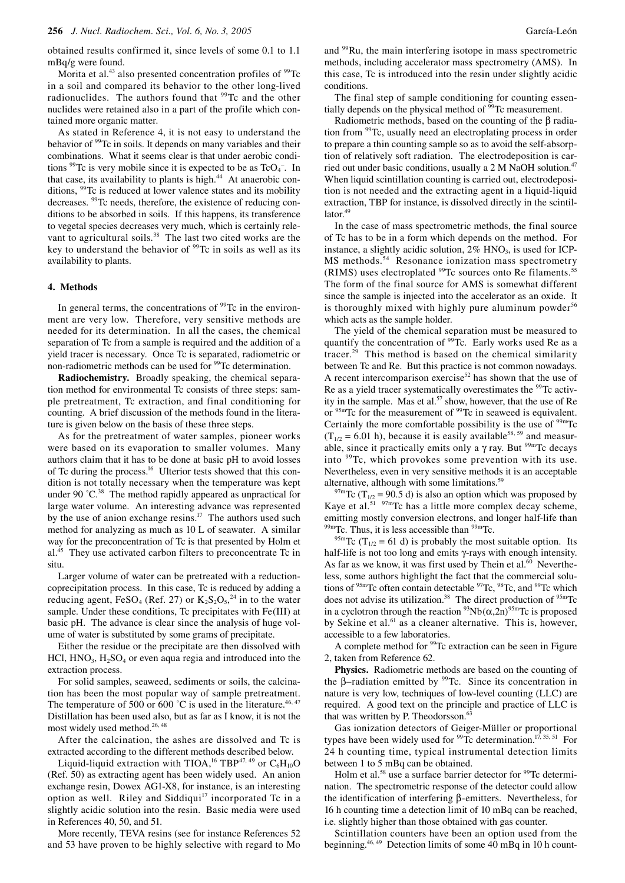obtained results confirmed it, since levels of some 0.1 to 1.1 mBq/g were found.

Morita et al.<sup>43</sup> also presented concentration profiles of  $99$ Tc in a soil and compared its behavior to the other long-lived radionuclides. The authors found that <sup>99</sup>Tc and the other nuclides were retained also in a part of the profile which contained more organic matter.

As stated in Reference 4, it is not easy to understand the behavior of <sup>99</sup>Tc in soils. It depends on many variables and their combinations. What it seems clear is that under aerobic conditions <sup>99</sup>Tc is very mobile since it is expected to be as  $TcO<sub>4</sub>$ . In that case, its availability to plants is high.<sup>44</sup> At anaerobic conditions, 99Tc is reduced at lower valence states and its mobility decreases. 99Tc needs, therefore, the existence of reducing conditions to be absorbed in soils. If this happens, its transference to vegetal species decreases very much, which is certainly relevant to agricultural soils.<sup>38</sup> The last two cited works are the key to understand the behavior of  $\rm{^{99}Tc}$  in soils as well as its availability to plants.

#### **4. Methods**

In general terms, the concentrations of  $99$ Tc in the environment are very low. Therefore, very sensitive methods are needed for its determination. In all the cases, the chemical separation of Tc from a sample is required and the addition of a yield tracer is necessary. Once Tc is separated, radiometric or non-radiometric methods can be used for <sup>99</sup>Tc determination.

**Radiochemistry.** Broadly speaking, the chemical separation method for environmental Tc consists of three steps: sample pretreatment, Tc extraction, and final conditioning for counting. A brief discussion of the methods found in the literature is given below on the basis of these three steps.

As for the pretreatment of water samples, pioneer works were based on its evaporation to smaller volumes. Many authors claim that it has to be done at basic pH to avoid losses of Tc during the process.<sup>16</sup> Ulterior tests showed that this condition is not totally necessary when the temperature was kept under 90 °C.<sup>38</sup> The method rapidly appeared as unpractical for large water volume. An interesting advance was represented by the use of anion exchange resins.<sup>17</sup> The authors used such method for analyzing as much as 10 L of seawater. A similar way for the preconcentration of Tc is that presented by Holm et  $al<sup>45</sup>$  They use activated carbon filters to preconcentrate Tc in situ.

Larger volume of water can be pretreated with a reductioncoprecipitation process. In this case, Tc is reduced by adding a reducing agent,  $FeSO_4$  (Ref. 27) or  $K_2S_2O_5^{24}$  in to the water sample. Under these conditions, Tc precipitates with Fe(III) at basic pH. The advance is clear since the analysis of huge volume of water is substituted by some grams of precipitate.

Either the residue or the precipitate are then dissolved with HCl,  $HNO<sub>3</sub>$ ,  $H<sub>2</sub>SO<sub>4</sub>$  or even aqua regia and introduced into the extraction process.

For solid samples, seaweed, sediments or soils, the calcination has been the most popular way of sample pretreatment. The temperature of 500 or 600 °C is used in the literature.<sup>46, 47</sup> Distillation has been used also, but as far as I know, it is not the most widely used method.<sup>26, 48</sup>

After the calcination, the ashes are dissolved and Tc is extracted according to the different methods described below.

Liquid-liquid extraction with TIOA,<sup>16</sup> TBP<sup>47, 49</sup> or  $C_6H_{10}O$ (Ref. 50) as extracting agent has been widely used. An anion exchange resin, Dowex AG1-X8, for instance, is an interesting option as well. Riley and Siddiqui<sup>17</sup> incorporated Tc in a slightly acidic solution into the resin. Basic media were used in References 40, 50, and 51.

More recently, TEVA resins (see for instance References 52 and 53 have proven to be highly selective with regard to Mo and <sup>99</sup>Ru, the main interfering isotope in mass spectrometric methods, including accelerator mass spectrometry (AMS). In this case, Tc is introduced into the resin under slightly acidic conditions.

The final step of sample conditioning for counting essentially depends on the physical method of <sup>99</sup>Tc measurement.

Radiometric methods, based on the counting of the β radiation from 99Tc, usually need an electroplating process in order to prepare a thin counting sample so as to avoid the self-absorption of relatively soft radiation. The electrodeposition is carried out under basic conditions, usually a 2 M NaOH solution.<sup>47</sup> When liquid scintillation counting is carried out, electrodeposition is not needed and the extracting agent in a liquid-liquid extraction, TBP for instance, is dissolved directly in the scintil- $\arctan 49$ 

In the case of mass spectrometric methods, the final source of Tc has to be in a form which depends on the method. For instance, a slightly acidic solution,  $2\%$  HNO<sub>3</sub>, is used for ICP-MS methods.<sup>54</sup> Resonance ionization mass spectrometry  $(RIMS)$  uses electroplated  $99Tc$  sources onto Re filaments.<sup>55</sup> The form of the final source for AMS is somewhat different since the sample is injected into the accelerator as an oxide. It is thoroughly mixed with highly pure aluminum powder<sup>56</sup> which acts as the sample holder.

The yield of the chemical separation must be measured to quantify the concentration of <sup>99</sup>Tc. Early works used Re as a tracer.29 This method is based on the chemical similarity between Tc and Re. But this practice is not common nowadays. A recent intercomparison exercise<sup>52</sup> has shown that the use of Re as a yield tracer systematically overestimates the <sup>99</sup>Tc activity in the sample. Mas et al.<sup>57</sup> show, however, that the use of Re or 95mTc for the measurement of 99Tc in seaweed is equivalent. Certainly the more comfortable possibility is the use of  $99mTc$  $(T_{1/2} = 6.01 \text{ h})$ , because it is easily available<sup>58, 59</sup> and measurable, since it practically emits only a  $\gamma$  ray. But <sup>99m</sup>Tc decays into 99Tc, which provokes some prevention with its use. Nevertheless, even in very sensitive methods it is an acceptable alternative, although with some limitations.59

<sup>97m</sup>Tc (T<sub>1/2</sub> = 90.5 d) is also an option which was proposed by Kaye et al.<sup>51</sup>  $97m$ Tc has a little more complex decay scheme, emitting mostly conversion electrons, and longer half-life than  $^{99m}$ Tc. Thus, it is less accessible than  $^{99m}$ Tc.

<sup>95m</sup>Tc (T<sub>1/2</sub> = 61 d) is probably the most suitable option. Its half-life is not too long and emits γ-rays with enough intensity. As far as we know, it was first used by Thein et al. $^{60}$  Nevertheless, some authors highlight the fact that the commercial solutions of  $\mathrm{^{95m}Tc}$  often contain detectable  $\mathrm{^{97}Tc}$ ,  $\mathrm{^{98}Tc}$ , and  $\mathrm{^{99}Tc}$  which does not advise its utilization.<sup>38</sup> The direct production of <sup>95m</sup>Tc in a cyclotron through the reaction  $\frac{93}{10}Nb(\alpha,2n)^{95}$  Tc is proposed by Sekine et al.<sup>61</sup> as a cleaner alternative. This is, however, accessible to a few laboratories.

A complete method for <sup>99</sup>Tc extraction can be seen in Figure 2, taken from Reference 62.

**Physics.** Radiometric methods are based on the counting of the  $\beta$ -radiation emitted by <sup>99</sup>Tc. Since its concentration in nature is very low, techniques of low-level counting (LLC) are required. A good text on the principle and practice of LLC is that was written by P. Theodorsson.<sup>63</sup>

Gas ionization detectors of Geiger-Müller or proportional types have been widely used for  $99Tc$  determination.<sup>17, 35, 51</sup> For 24 h counting time, typical instrumental detection limits between 1 to 5 mBq can be obtained.

Holm et al.<sup>58</sup> use a surface barrier detector for <sup>99</sup>Tc determination. The spectrometric response of the detector could allow the identification of interfering β-emitters. Nevertheless, for 16 h counting time a detection limit of 10 mBq can be reached, i.e. slightly higher than those obtained with gas counter.

Scintillation counters have been an option used from the beginning.<sup>46, 49</sup> Detection limits of some  $40 \text{ mBq in } 10 \text{ h count-}$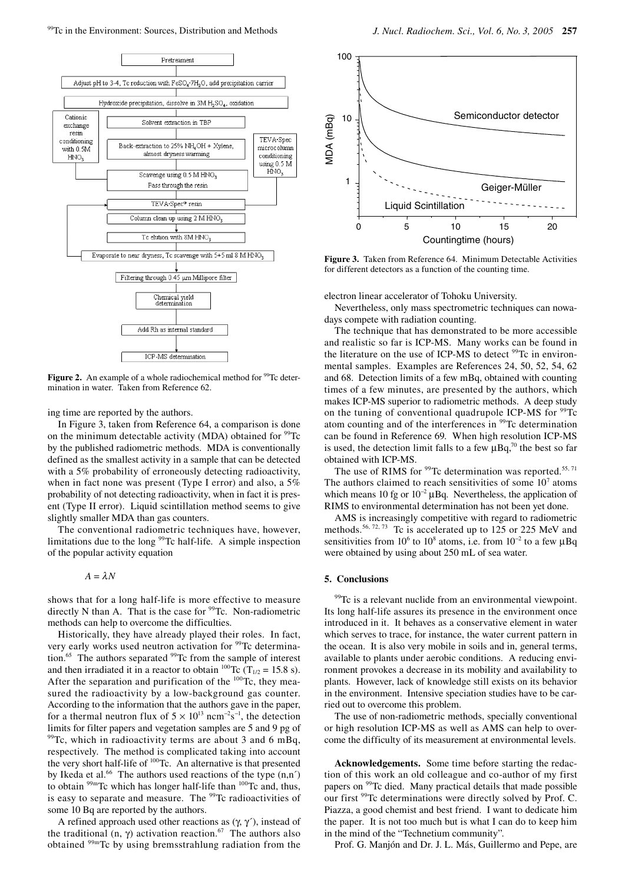

Figure 2. An example of a whole radiochemical method for <sup>99</sup>Tc determination in water. Taken from Reference 62.

ing time are reported by the authors.

In Figure 3, taken from Reference 64, a comparison is done on the minimum detectable activity (MDA) obtained for  $99Tc$ by the published radiometric methods. MDA is conventionally defined as the smallest activity in a sample that can be detected with a 5% probability of erroneously detecting radioactivity, when in fact none was present (Type I error) and also, a 5% probability of not detecting radioactivity, when in fact it is present (Type II error). Liquid scintillation method seems to give slightly smaller MDA than gas counters.

The conventional radiometric techniques have, however, limitations due to the long 99Tc half-life. A simple inspection of the popular activity equation

 $A = \lambda N$ 

shows that for a long half-life is more effective to measure directly N than A. That is the case for  $99$ Tc. Non-radiometric methods can help to overcome the difficulties.

Historically, they have already played their roles. In fact, very early works used neutron activation for <sup>99</sup>Tc determination.<sup>65</sup> The authors separated <sup>99</sup>Tc from the sample of interest and then irradiated it in a reactor to obtain <sup>100</sup>Tc (T<sub>1/2</sub> = 15.8 s). After the separation and purification of the <sup>100</sup>Tc, they measured the radioactivity by a low-background gas counter. According to the information that the authors gave in the paper, for a thermal neutron flux of  $5 \times 10^{13}$  ncm<sup>-2</sup>s<sup>-1</sup>, the detection limits for filter papers and vegetation samples are 5 and 9 pg of  $99$ Tc, which in radioactivity terms are about 3 and 6 mBq, respectively. The method is complicated taking into account the very short half-life of 100Tc. An alternative is that presented by Ikeda et al.<sup>66</sup> The authors used reactions of the type  $(n,n')$ to obtain <sup>99m</sup>Tc which has longer half-life than <sup>100</sup>Tc and, thus, is easy to separate and measure. The <sup>99</sup>Tc radioactivities of some 10 Bq are reported by the authors.

A refined approach used other reactions as  $(\gamma, \gamma')$ , instead of the traditional (n,  $\gamma$ ) activation reaction.<sup>67</sup> The authors also obtained 99mTc by using bremsstrahlung radiation from the



**Figure 3.** Taken from Reference 64. Minimum Detectable Activities for different detectors as a function of the counting time.

electron linear accelerator of Tohoku University.

Nevertheless, only mass spectrometric techniques can nowadays compete with radiation counting.

The technique that has demonstrated to be more accessible and realistic so far is ICP-MS. Many works can be found in the literature on the use of ICP-MS to detect <sup>99</sup>Tc in environmental samples. Examples are References 24, 50, 52, 54, 62 and 68. Detection limits of a few mBq, obtained with counting times of a few minutes, are presented by the authors, which makes ICP-MS superior to radiometric methods. A deep study on the tuning of conventional quadrupole ICP-MS for <sup>99</sup>Tc atom counting and of the interferences in <sup>99</sup>Tc determination can be found in Reference 69. When high resolution ICP-MS is used, the detection limit falls to a few  $\mu$ Bq,<sup>70</sup> the best so far obtained with ICP-MS.

The use of RIMS for  $99$ Tc determination was reported.<sup>55, 71</sup> The authors claimed to reach sensitivities of some  $10<sup>7</sup>$  atoms which means 10 fg or  $10^{-2} \mu Bq$ . Nevertheless, the application of RIMS to environmental determination has not been yet done.

AMS is increasingly competitive with regard to radiometric methods.<sup>56, 72, 73</sup> Tc is accelerated up to 125 or 225 MeV and sensitivities from 10<sup>6</sup> to 10<sup>8</sup> atoms, i.e. from 10<sup>-2</sup> to a few  $\mu$ Bq were obtained by using about 250 mL of sea water.

# **5. Conclusions**

<sup>99</sup>Tc is a relevant nuclide from an environmental viewpoint. Its long half-life assures its presence in the environment once introduced in it. It behaves as a conservative element in water which serves to trace, for instance, the water current pattern in the ocean. It is also very mobile in soils and in, general terms, available to plants under aerobic conditions. A reducing environment provokes a decrease in its mobility and availability to plants. However, lack of knowledge still exists on its behavior in the environment. Intensive speciation studies have to be carried out to overcome this problem.

The use of non-radiometric methods, specially conventional or high resolution ICP-MS as well as AMS can help to overcome the difficulty of its measurement at environmental levels.

**Acknowledgements.** Some time before starting the redaction of this work an old colleague and co-author of my first papers on <sup>99</sup>Tc died. Many practical details that made possible our first <sup>99</sup>Tc determinations were directly solved by Prof. C. Piazza, a good chemist and best friend. I want to dedicate him the paper. It is not too much but is what I can do to keep him in the mind of the "Technetium community".

Prof. G. Manjón and Dr. J. L. Más, Guillermo and Pepe, are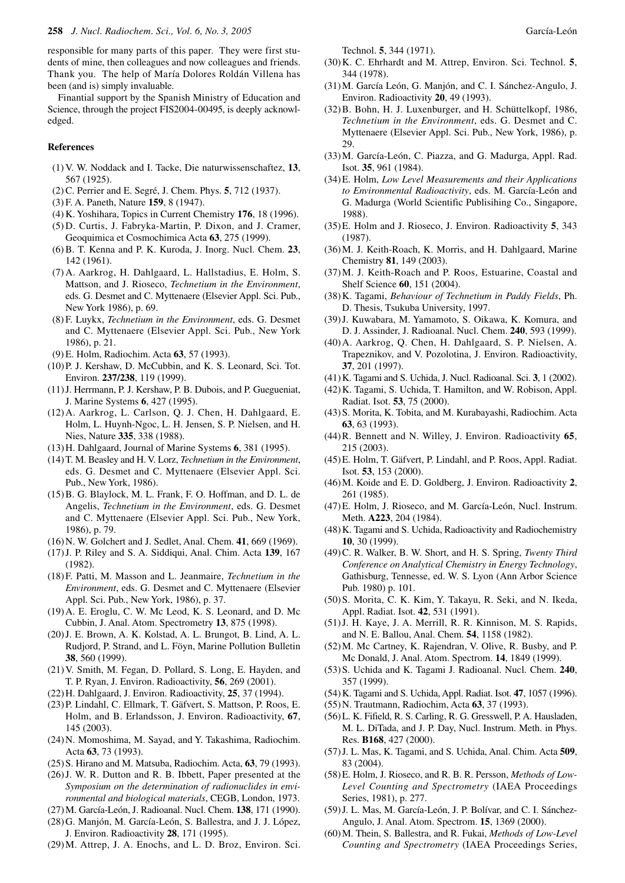responsible for many parts of this paper. They were first students of mine, then colleagues and now colleagues and friends. Thank you. The help of María Dolores Roldán Villena has been (and is) simply invaluable.

Finantial support by the Spanish Ministry of Education and Science, through the project FIS2004-00495, is deeply acknowledged.

# **References**

- (1) V. W. Noddack and I. Tacke, Die naturwissenschaftez, **13**, 567 (1925).
- (2) C. Perrier and E. Segré, J. Chem. Phys. **5**, 712 (1937).
- (3) F. A. Paneth, Nature **159**, 8 (1947).
- (4) K. Yoshihara, Topics in Current Chemistry **176**, 18 (1996).
- (5) D. Curtis, J. Fabryka-Martin, P. Dixon, and J. Cramer, Geoquimica et Cosmochimica Acta **63**, 275 (1999).
- (6) B. T. Kenna and P. K. Kuroda, J. Inorg. Nucl. Chem. **23**, 142 (1961).
- (7) A. Aarkrog, H. Dahlgaard, L. Hallstadius, E. Holm, S. Mattson, and J. Rioseco, *Technetium in the Environment*, eds. G. Desmet and C. Myttenaere (Elsevier Appl. Sci. Pub., New York 1986), p. 69.
- (8) F. Luykx, *Technetium in the Environment*, eds. G. Desmet and C. Myttenaere (Elsevier Appl. Sci. Pub., New York 1986), p. 21.
- (9) E. Holm, Radiochim. Acta **63**, 57 (1993).
- (10) P. J. Kershaw, D. McCubbin, and K. S. Leonard, Sci. Tot. Environ. **237/238**, 119 (1999).
- (11) J. Herrmann, P. J. Kershaw, P. B. Dubois, and P. Guegueniat, J. Marine Systems **6**, 427 (1995).
- (12) A. Aarkrog, L. Carlson, Q. J. Chen, H. Dahlgaard, E. Holm, L. Huynh-Ngoc, L. H. Jensen, S. P. Nielsen, and H. Nies, Nature **335**, 338 (1988).
- (13) H. Dahlgaard, Journal of Marine Systems **6**, 381 (1995).
- (14) T. M. Beasley and H. V. Lorz, *Technetium in the Environment*, eds. G. Desmet and C. Myttenaere (Elsevier Appl. Sci. Pub., New York, 1986).
- (15) B. G. Blaylock, M. L. Frank, F. O. Hoffman, and D. L. de Angelis, *Technetium in the Environment*, eds. G. Desmet and C. Myttenaere (Elsevier Appl. Sci. Pub., New York, 1986), p. 79.
- (16) N. W. Golchert and J. Sedlet, Anal. Chem. **41**, 669 (1969).
- (17) J. P. Riley and S. A. Siddiqui, Anal. Chim. Acta **139**, 167 (1982).
- (18) F. Patti, M. Masson and L. Jeanmaire, *Technetium in the Environment*, eds. G. Desmet and C. Myttenaere (Elsevier Appl. Sci. Pub., New York, 1986), p. 37.
- (19) A. E. Eroglu, C. W. Mc Leod, K. S. Leonard, and D. Mc Cubbin, J. Anal. Atom. Spectrometry **13**, 875 (1998).
- (20) J. E. Brown, A. K. Kolstad, A. L. Brungot, B. Lind, A. L. Rudjord, P. Strand, and L. Föyn, Marine Pollution Bulletin **38**, 560 (1999).
- (21) V. Smith, M. Fegan, D. Pollard, S. Long, E. Hayden, and T. P. Ryan, J. Environ. Radioactivity, **56**, 269 (2001).
- (22) H. Dahlgaard, J. Environ. Radioactivity, **25**, 37 (1994).
- (23) P. Lindahl, C. Ellmark, T. Gäfvert, S. Mattson, P. Roos, E. Holm, and B. Erlandsson, J. Environ. Radioactivity, **67**, 145 (2003).
- (24) N. Momoshima, M. Sayad, and Y. Takashima, Radiochim. Acta **63**, 73 (1993).
- (25) S. Hirano and M. Matsuba, Radiochim. Acta, **63**, 79 (1993).
- (26) J. W. R. Dutton and R. B. Ibbett, Paper presented at the *Symposium on the determination of radionuclides in environmental and biological materials*, CEGB, London, 1973.
- (27) M. García-León, J. Radioanal. Nucl. Chem. **138**, 171 (1990).
- (28) G. Manjón, M. García-León, S. Ballestra, and J. J. López, J. Environ. Radioactivity **28**, 171 (1995).
- (29) M. Attrep, J. A. Enochs, and L. D. Broz, Environ. Sci.

Technol. **5**, 344 (1971).

- (30) K. C. Ehrhardt and M. Attrep, Environ. Sci. Technol. **5**, 344 (1978).
- (31) M. García León, G. Manjón, and C. I. Sánchez-Angulo, J. Environ. Radioactivity **20**, 49 (1993).
- (32) B. Bohn, H. J. Luxenburger, and H. Schüttelkopf, 1986, *Technetium in the Environment*, eds. G. Desmet and C. Myttenaere (Elsevier Appl. Sci. Pub., New York, 1986), p. 29.
- (33) M. García-León, C. Piazza, and G. Madurga, Appl. Rad. Isot. **35**, 961 (1984).
- (34) E. Holm, *Low Level Measurements and their Applications to Environmental Radioactivity*, eds. M. García-León and G. Madurga (World Scientific Publisihing Co., Singapore, 1988).
- (35) E. Holm and J. Rioseco, J. Environ. Radioactivity **5**, 343 (1987).
- (36) M. J. Keith-Roach, K. Morris, and H. Dahlgaard, Marine Chemistry **81**, 149 (2003).
- (37) M. J. Keith-Roach and P. Roos, Estuarine, Coastal and Shelf Science **60**, 151 (2004).
- (38) K. Tagami, *Behaviour of Technetium in Paddy Fields*, Ph. D. Thesis, Tsukuba University, 1997.
- (39) J. Kuwabara, M. Yamamoto, S. Oikawa, K. Komura, and D. J. Assinder, J. Radioanal. Nucl. Chem. **240**, 593 (1999).
- (40) A. Aarkrog, Q. Chen, H. Dahlgaard, S. P. Nielsen, A. Trapeznikov, and V. Pozolotina, J. Environ. Radioactivity, **37**, 201 (1997).
- (41) K. Tagami and S. Uchida, J. Nucl. Radioanal. Sci. **3**, 1 (2002).
- (42) K. Tagami, S. Uchida, T. Hamilton, and W. Robison, Appl. Radiat. Isot. **53**, 75 (2000).
- (43) S. Morita, K. Tobita, and M. Kurabayashi, Radiochim. Acta **63**, 63 (1993).
- (44) R. Bennett and N. Willey, J. Environ. Radioactivity **65**, 215 (2003).
- (45) E. Holm, T. Gäfvert, P. Lindahl, and P. Roos, Appl. Radiat. Isot. **53**, 153 (2000).
- (46) M. Koide and E. D. Goldberg, J. Environ. Radioactivity **2**, 261 (1985).
- (47) E. Holm, J. Rioseco, and M. García-León, Nucl. Instrum. Meth. **A223**, 204 (1984).
- (48) K. Tagami and S. Uchida, Radioactivity and Radiochemistry **10**, 30 (1999).
- (49) C. R. Walker, B. W. Short, and H. S. Spring, *Twenty Third Conference on Analytical Chemistry in Energy Technology*, Gathisburg, Tennesse, ed. W. S. Lyon (Ann Arbor Science Pub. 1980) p. 101.
- (50) S. Morita, C. K. Kim, Y. Takayu, R. Seki, and N. Ikeda, Appl. Radiat. Isot. **42**, 531 (1991).
- (51) J. H. Kaye, J. A. Merrill, R. R. Kinnison, M. S. Rapids, and N. E. Ballou, Anal. Chem. **54**, 1158 (1982).
- (52) M. Mc Cartney, K. Rajendran, V. Olive, R. Busby, and P. Mc Donald, J. Anal. Atom. Spectrom. **14**, 1849 (1999).
- (53) S. Uchida and K. Tagami J. Radioanal. Nucl. Chem. **240**, 357 (1999).
- (54) K. Tagami and S. Uchida, Appl. Radiat. Isot. **47**, 1057 (1996).
- (55) N. Trautmann, Radiochim, Acta **63**, 37 (1993).
- (56) L. K. Fifield, R. S. Carling, R. G. Gresswell, P. A. Hausladen, M. L. DiTada, and J. P. Day, Nucl. Instrum. Meth. in Phys. Res. **B168**, 427 (2000).
- (57) J. L. Mas, K. Tagami, and S. Uchida, Anal. Chim. Acta **509**, 83 (2004).
- (58) E. Holm, J. Rioseco, and R. B. R. Persson, *Methods of Low-Level Counting and Spectrometry* (IAEA Proceedings Series, 1981), p. 277.
- (59) J. L. Mas, M. García-León, J. P. Bolívar, and C. I. Sánchez-Angulo, J. Anal. Atom. Spectrom. **15**, 1369 (2000).
- (60) M. Thein, S. Ballestra, and R. Fukai, *Methods of Low-Level Counting and Spectrometry* (IAEA Proceedings Series,